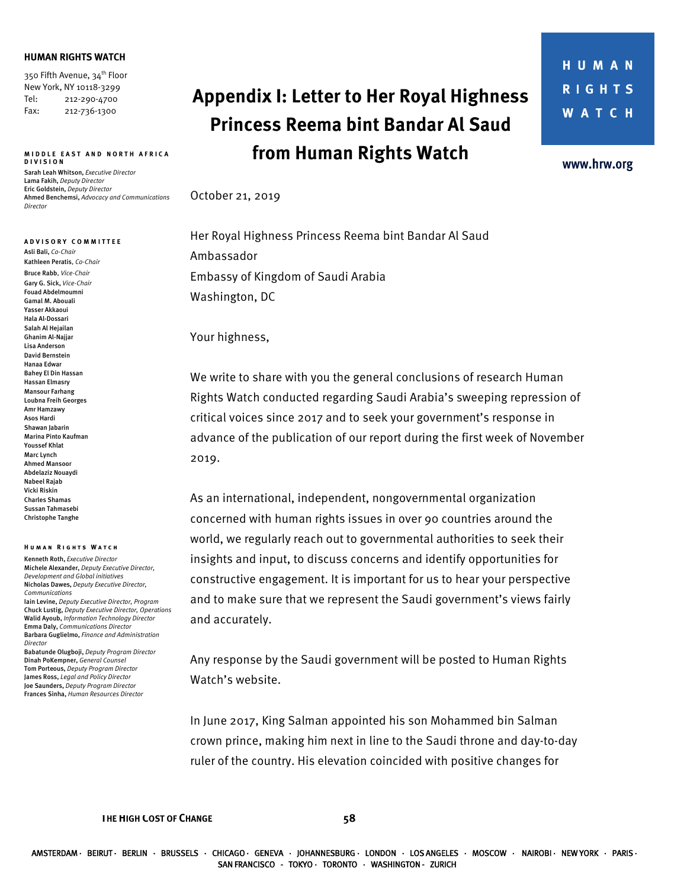## **HUMAN RIGHTS WATCH**

350 Fifth Avenue, 34<sup>th</sup> Floor New York, NY 10118-3299 Tel: 212-290-4700 Fax: 212-736-1300

## **MIDDLE EAST AND NORTH AFRICA DIVISION**

Sarah Leah Whitson, *Executive Director* Lama Fakih, *Deputy Director* Eric Goldstein, *Deputy Director* Ahmed Benchemsi, *Advocacy and Communications Director* 

**ADVISORY COMMITTEE** Asli Bali, *Co-Chair* Kathleen Peratis, *Co-Chair* Bruce Rabb, *Vice-Chair* Gary G. Sick, *Vice-Chair* Fouad Abdelmoumni Gamal M. Abouali Yasser Akkaoui Hala Al-Dossari Salah Al Hejailan Ghanim Al-Najjar Lisa Anderson David Bernstein Hanaa Edwar Bahey El Din Hassan Hassan Elmasry Mansour Farhang Loubna Freih Georges Amr Hamzawy Asos Hardi Shawan Jabarin Marina Pinto Kaufman Youssef Khlat Marc Lynch Ahmed Mansoor Abdelaziz Nouaydi Nabeel Rajab Vicki Riskin Charles Shamas Sussan Tahmasebi Christophe Tanghe

## **Human Rights Watch**

Kenneth Roth, *Executive Director* Michele Alexander, *Deputy Executive Director, Development and Global initiatives*  Nicholas Dawes, *Deputy Executive Director, Communications* Iain Levine, *Deputy Executive Director, Program* Chuck Lustig, *Deputy Executive Director, Operations* Walid Ayoub, *Information Technology Director* Emma Daly, *Communications Director* Barbara Guglielmo, *Finance and Administration Director* Babatunde Olugboji, *Deputy Program Director* Dinah PoKempner, *General Counsel* Tom Porteous, *Deputy Program Director*

James Ross, *Legal and Policy Director* Joe Saunders, *Deputy Program Director* Frances Sinha, *Human Resources Director*

## **Appendix I: Letter to Her Royal Highness Princess Reema bint Bandar Al Saud from Human Rights Watch**

www.hrw.org

October 21, 2019

Her Royal Highness Princess Reema bint Bandar Al Saud Ambassador Embassy of Kingdom of Saudi Arabia Washington, DC

Your highness,

We write to share with you the general conclusions of research Human Rights Watch conducted regarding Saudi Arabia's sweeping repression of critical voices since 2017 and to seek your government's response in advance of the publication of our report during the first week of November 2019.

As an international, independent, nongovernmental organization concerned with human rights issues in over 90 countries around the world, we regularly reach out to governmental authorities to seek their insights and input, to discuss concerns and identify opportunities for constructive engagement. It is important for us to hear your perspective and to make sure that we represent the Saudi government's views fairly and accurately.

Any response by the Saudi government will be posted to Human Rights Watch's website.

In June 2017, King Salman appointed his son Mohammed bin Salman crown prince, making him next in line to the Saudi throne and day-to-day ruler of the country. His elevation coincided with positive changes for

**THE HIGH COST OF CHANGE 58**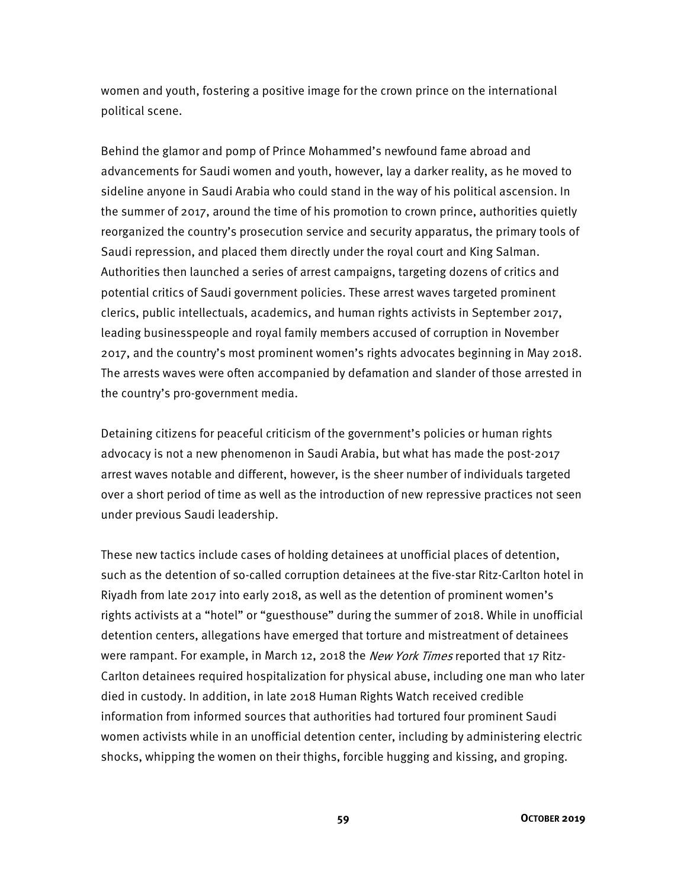women and youth, fostering a positive image for the crown prince on the international political scene.

Behind the glamor and pomp of Prince Mohammed's newfound fame abroad and advancements for Saudi women and youth, however, lay a darker reality, as he moved to sideline anyone in Saudi Arabia who could stand in the way of his political ascension. In the summer of 2017, around the time of his promotion to crown prince, authorities quietly reorganized the country's prosecution service and security apparatus, the primary tools of Saudi repression, and placed them directly under the royal court and King Salman. Authorities then launched a series of arrest campaigns, targeting dozens of critics and potential critics of Saudi government policies. These arrest waves targeted prominent clerics, public intellectuals, academics, and human rights activists in September 2017, leading businesspeople and royal family members accused of corruption in November 2017, and the country's most prominent women's rights advocates beginning in May 2018. The arrests waves were often accompanied by defamation and slander of those arrested in the country's pro-government media.

Detaining citizens for peaceful criticism of the government's policies or human rights advocacy is not a new phenomenon in Saudi Arabia, but what has made the post-2017 arrest waves notable and different, however, is the sheer number of individuals targeted over a short period of time as well as the introduction of new repressive practices not seen under previous Saudi leadership.

These new tactics include cases of holding detainees at unofficial places of detention, such as the detention of so-called corruption detainees at the five-star Ritz-Carlton hotel in Riyadh from late 2017 into early 2018, as well as the detention of prominent women's rights activists at a "hotel" or "guesthouse" during the summer of 2018. While in unofficial detention centers, allegations have emerged that torture and mistreatment of detainees were rampant. For example, in March 12, 2018 the *New York Times* reported that 17 Ritz-Carlton detainees required hospitalization for physical abuse, including one man who later died in custody. In addition, in late 2018 Human Rights Watch received credible information from informed sources that authorities had tortured four prominent Saudi women activists while in an unofficial detention center, including by administering electric shocks, whipping the women on their thighs, forcible hugging and kissing, and groping.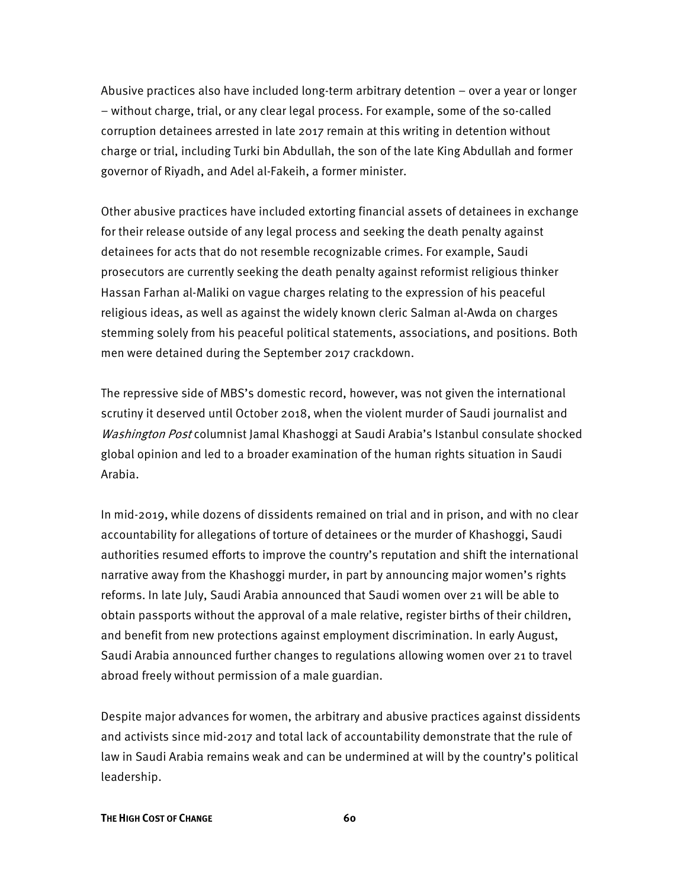Abusive practices also have included long-term arbitrary detention – over a year or longer – without charge, trial, or any clear legal process. For example, some of the so-called corruption detainees arrested in late 2017 remain at this writing in detention without charge or trial, including Turki bin Abdullah, the son of the late King Abdullah and former governor of Riyadh, and Adel al-Fakeih, a former minister.

Other abusive practices have included extorting financial assets of detainees in exchange for their release outside of any legal process and seeking the death penalty against detainees for acts that do not resemble recognizable crimes. For example, Saudi prosecutors are currently seeking the death penalty against reformist religious thinker Hassan Farhan al-Maliki on vague charges relating to the expression of his peaceful religious ideas, as well as against the widely known cleric Salman al-Awda on charges stemming solely from his peaceful political statements, associations, and positions. Both men were detained during the September 2017 crackdown.

The repressive side of MBS's domestic record, however, was not given the international scrutiny it deserved until October 2018, when the violent murder of Saudi journalist and Washington Post columnist Jamal Khashoggi at Saudi Arabia's Istanbul consulate shocked global opinion and led to a broader examination of the human rights situation in Saudi Arabia.

In mid-2019, while dozens of dissidents remained on trial and in prison, and with no clear accountability for allegations of torture of detainees or the murder of Khashoggi, Saudi authorities resumed efforts to improve the country's reputation and shift the international narrative away from the Khashoggi murder, in part by announcing major women's rights reforms. In late July, Saudi Arabia announced that Saudi women over 21 will be able to obtain passports without the approval of a male relative, register births of their children, and benefit from new protections against employment discrimination. In early August, Saudi Arabia announced further changes to regulations allowing women over 21 to travel abroad freely without permission of a male guardian.

Despite major advances for women, the arbitrary and abusive practices against dissidents and activists since mid-2017 and total lack of accountability demonstrate that the rule of law in Saudi Arabia remains weak and can be undermined at will by the country's political leadership.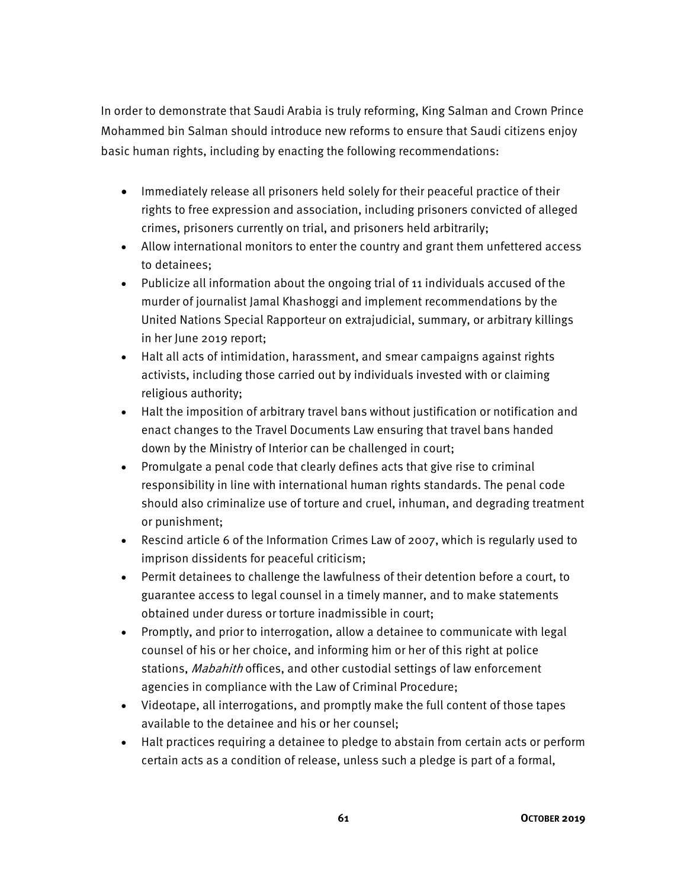In order to demonstrate that Saudi Arabia is truly reforming, King Salman and Crown Prince Mohammed bin Salman should introduce new reforms to ensure that Saudi citizens enjoy basic human rights, including by enacting the following recommendations:

- Immediately release all prisoners held solely for their peaceful practice of their rights to free expression and association, including prisoners convicted of alleged crimes, prisoners currently on trial, and prisoners held arbitrarily;
- Allow international monitors to enter the country and grant them unfettered access to detainees;
- Publicize all information about the ongoing trial of 11 individuals accused of the murder of journalist Jamal Khashoggi and implement recommendations by the United Nations Special Rapporteur on extrajudicial, summary, or arbitrary killings in her June 2019 report;
- Halt all acts of intimidation, harassment, and smear campaigns against rights activists, including those carried out by individuals invested with or claiming religious authority;
- Halt the imposition of arbitrary travel bans without justification or notification and enact changes to the Travel Documents Law ensuring that travel bans handed down by the Ministry of Interior can be challenged in court;
- Promulgate a penal code that clearly defines acts that give rise to criminal responsibility in line with international human rights standards. The penal code should also criminalize use of torture and cruel, inhuman, and degrading treatment or punishment;
- Rescind article 6 of the Information Crimes Law of 2007, which is regularly used to imprison dissidents for peaceful criticism;
- Permit detainees to challenge the lawfulness of their detention before a court, to guarantee access to legal counsel in a timely manner, and to make statements obtained under duress or torture inadmissible in court;
- Promptly, and prior to interrogation, allow a detainee to communicate with legal counsel of his or her choice, and informing him or her of this right at police stations, *Mabahith* offices, and other custodial settings of law enforcement agencies in compliance with the Law of Criminal Procedure;
- Videotape, all interrogations, and promptly make the full content of those tapes available to the detainee and his or her counsel;
- Halt practices requiring a detainee to pledge to abstain from certain acts or perform certain acts as a condition of release, unless such a pledge is part of a formal,